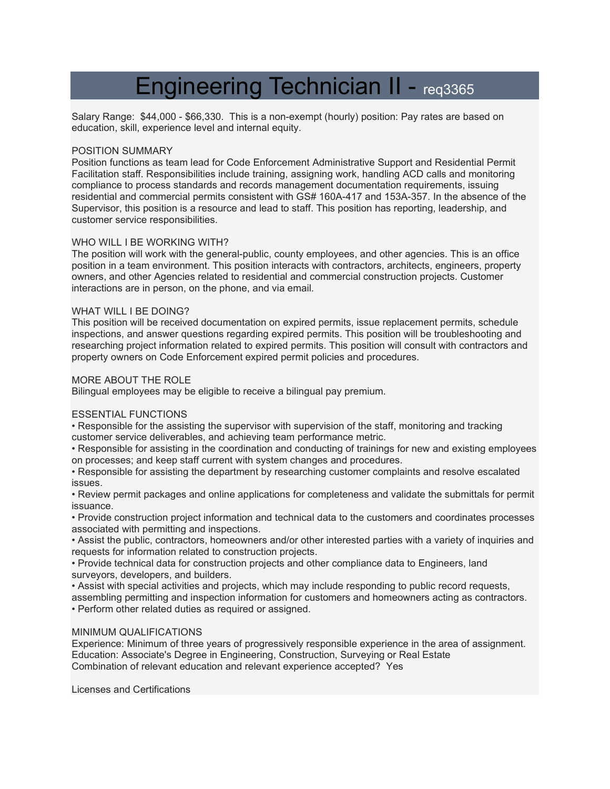# Engineering Technician II - req3365

Salary Range: \$44,000 - \$66,330. This is a non-exempt (hourly) position: Pay rates are based on education, skill, experience level and internal equity.

#### POSITION SUMMARY

Position functions as team lead for Code Enforcement Administrative Support and Residential Permit Facilitation staff. Responsibilities include training, assigning work, handling ACD calls and monitoring compliance to process standards and records management documentation requirements, issuing residential and commercial permits consistent with GS# 160A-417 and 153A-357. In the absence of the Supervisor, this position is a resource and lead to staff. This position has reporting, leadership, and customer service responsibilities.

## WHO WILL I BE WORKING WITH?

The position will work with the general-public, county employees, and other agencies. This is an office position in a team environment. This position interacts with contractors, architects, engineers, property owners, and other Agencies related to residential and commercial construction projects. Customer interactions are in person, on the phone, and via email.

#### WHAT WILL I BE DOING?

This position will be received documentation on expired permits, issue replacement permits, schedule inspections, and answer questions regarding expired permits. This position will be troubleshooting and researching project information related to expired permits. This position will consult with contractors and property owners on Code Enforcement expired permit policies and procedures.

#### MORE ABOUT THE ROLE

Bilingual employees may be eligible to receive a bilingual pay premium.

## ESSENTIAL FUNCTIONS

• Responsible for the assisting the supervisor with supervision of the staff, monitoring and tracking customer service deliverables, and achieving team performance metric.

• Responsible for assisting in the coordination and conducting of trainings for new and existing employees on processes; and keep staff current with system changes and procedures.

• Responsible for assisting the department by researching customer complaints and resolve escalated issues.

• Review permit packages and online applications for completeness and validate the submittals for permit issuance.

• Provide construction project information and technical data to the customers and coordinates processes associated with permitting and inspections.

• Assist the public, contractors, homeowners and/or other interested parties with a variety of inquiries and requests for information related to construction projects.

• Provide technical data for construction projects and other compliance data to Engineers, land surveyors, developers, and builders.

• Assist with special activities and projects, which may include responding to public record requests, assembling permitting and inspection information for customers and homeowners acting as contractors.

• Perform other related duties as required or assigned.

## MINIMUM QUALIFICATIONS

Experience: Minimum of three years of progressively responsible experience in the area of assignment. Education: Associate's Degree in Engineering, Construction, Surveying or Real Estate Combination of relevant education and relevant experience accepted? Yes

Licenses and Certifications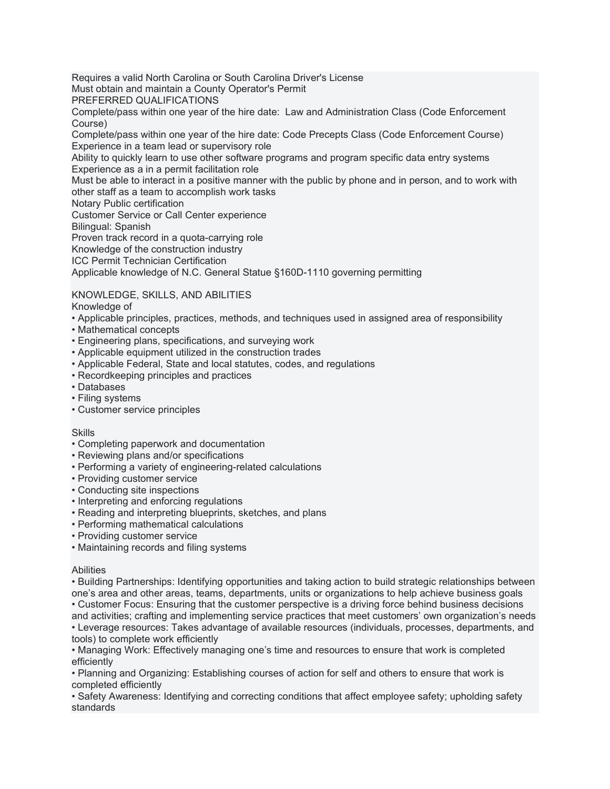Requires a valid North Carolina or South Carolina Driver's License

Must obtain and maintain a County Operator's Permit

PREFERRED QUALIFICATIONS

Complete/pass within one year of the hire date: Law and Administration Class (Code Enforcement Course)

Complete/pass within one year of the hire date: Code Precepts Class (Code Enforcement Course) Experience in a team lead or supervisory role

Ability to quickly learn to use other software programs and program specific data entry systems Experience as a in a permit facilitation role

Must be able to interact in a positive manner with the public by phone and in person, and to work with other staff as a team to accomplish work tasks

Notary Public certification

Customer Service or Call Center experience

Bilingual: Spanish

Proven track record in a quota-carrying role

Knowledge of the construction industry

ICC Permit Technician Certification

Applicable knowledge of N.C. General Statue §160D-1110 governing permitting

KNOWLEDGE, SKILLS, AND ABILITIES

Knowledge of

- Applicable principles, practices, methods, and techniques used in assigned area of responsibility
- Mathematical concepts
- Engineering plans, specifications, and surveying work
- Applicable equipment utilized in the construction trades
- Applicable Federal, State and local statutes, codes, and regulations
- Recordkeeping principles and practices
- Databases
- Filing systems
- Customer service principles

## **Skills**

- Completing paperwork and documentation
- Reviewing plans and/or specifications
- Performing a variety of engineering-related calculations
- Providing customer service
- Conducting site inspections
- Interpreting and enforcing regulations
- Reading and interpreting blueprints, sketches, and plans
- Performing mathematical calculations
- Providing customer service
- Maintaining records and filing systems

## Abilities

• Building Partnerships: Identifying opportunities and taking action to build strategic relationships between one's area and other areas, teams, departments, units or organizations to help achieve business goals • Customer Focus: Ensuring that the customer perspective is a driving force behind business decisions and activities; crafting and implementing service practices that meet customers' own organization's needs • Leverage resources: Takes advantage of available resources (individuals, processes, departments, and tools) to complete work efficiently

• Managing Work: Effectively managing one's time and resources to ensure that work is completed efficiently

• Planning and Organizing: Establishing courses of action for self and others to ensure that work is completed efficiently

• Safety Awareness: Identifying and correcting conditions that affect employee safety; upholding safety standards